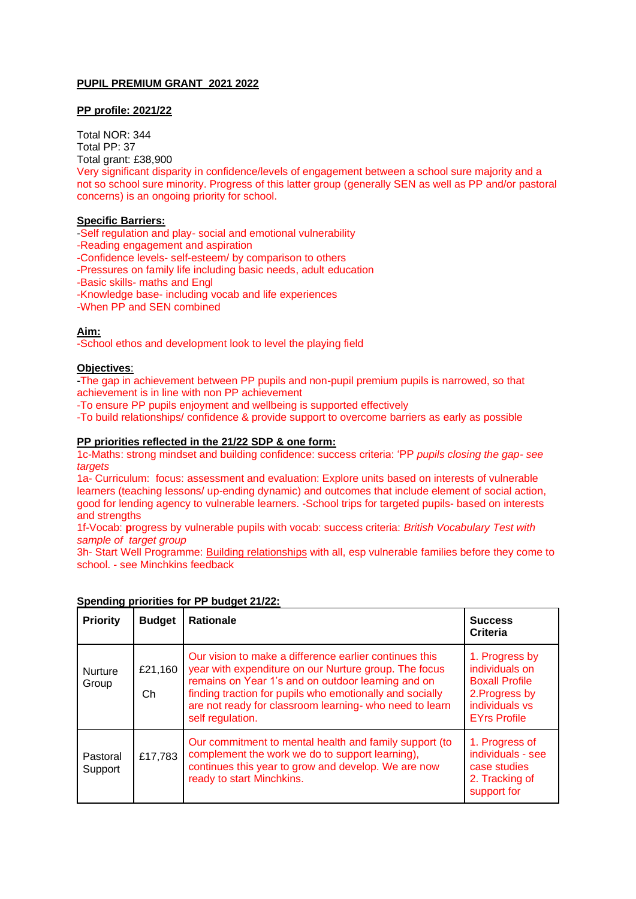## **PUPIL PREMIUM GRANT 2021 2022**

## **PP profile: 2021/22**

Total NOR: 344 Total PP: 37 Total grant: £38,900 Very significant disparity in confidence/levels of engagement between a school sure majority and a not so school sure minority. Progress of this latter group (generally SEN as well as PP and/or pastoral concerns) is an ongoing priority for school.

## **Specific Barriers:**

-Self regulation and play- social and emotional vulnerability

-Reading engagement and aspiration

-Confidence levels- self-esteem/ by comparison to others

-Pressures on family life including basic needs, adult education

-Basic skills- maths and Engl

-Knowledge base- including vocab and life experiences

-When PP and SEN combined

## **Aim:**

-School ethos and development look to level the playing field

# **Objectives**:

-The gap in achievement between PP pupils and non-pupil premium pupils is narrowed, so that achievement is in line with non PP achievement

-To ensure PP pupils enjoyment and wellbeing is supported effectively

-To build relationships/ confidence & provide support to overcome barriers as early as possible

## **PP priorities reflected in the 21/22 SDP & one form:**

1c-Maths: strong mindset and building confidence: success criteria: 'PP *pupils closing the gap- see targets*

1a- Curriculum: focus: assessment and evaluation: Explore units based on interests of vulnerable learners (teaching lessons/ up-ending dynamic) and outcomes that include element of social action, good for lending agency to vulnerable learners. -School trips for targeted pupils- based on interests and strengths

1f-Vocab: **p**rogress by vulnerable pupils with vocab: success criteria: *British Vocabulary Test with sample of target group*

3h- Start Well Programme: [Building relationships](https://www.minchacademy.net/minchinhampton-community-group/) with all, esp vulnerable families before they come to school. - see Minchkins feedback

| <b>Priority</b>         | <b>Budget</b>  | <b>Rationale</b>                                                                                                                                                                                                                                                                                                 | <b>Success</b><br>Criteria                                                                                           |
|-------------------------|----------------|------------------------------------------------------------------------------------------------------------------------------------------------------------------------------------------------------------------------------------------------------------------------------------------------------------------|----------------------------------------------------------------------------------------------------------------------|
| <b>Nurture</b><br>Group | £21,160<br>Ch. | Our vision to make a difference earlier continues this<br>year with expenditure on our Nurture group. The focus<br>remains on Year 1's and on outdoor learning and on<br>finding traction for pupils who emotionally and socially<br>are not ready for classroom learning- who need to learn<br>self regulation. | 1. Progress by<br>individuals on<br><b>Boxall Profile</b><br>2. Progress by<br>individuals vs<br><b>EYrs Profile</b> |
| Pastoral<br>Support     | £17,783        | Our commitment to mental health and family support (to<br>complement the work we do to support learning),<br>continues this year to grow and develop. We are now<br>ready to start Minchkins.                                                                                                                    | 1. Progress of<br>individuals - see<br>case studies<br>2. Tracking of<br>support for                                 |

#### **Spending priorities for PP budget 21/22:**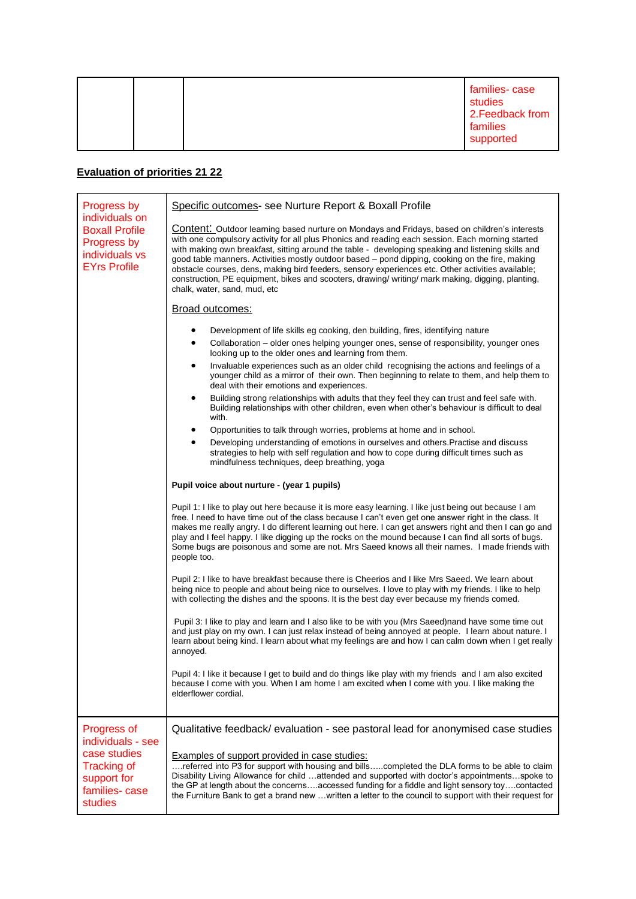|  |  | families-case<br>studies<br>2. Feedback from<br>families<br>supported |
|--|--|-----------------------------------------------------------------------|
|--|--|-----------------------------------------------------------------------|

# **Evaluation of priorities 21 22**

| Progress by                                                                                                       | Specific outcomes- see Nurture Report & Boxall Profile                                                                                                                                                                                                                                                                                                                                                                                                                                                                                                                                                                                                                                                                                                                                                                                                                                                                                                                                                                                                                                                                                                                                                                                                                                                                                                                                                                                                                                                                                                                                                                         |  |
|-------------------------------------------------------------------------------------------------------------------|--------------------------------------------------------------------------------------------------------------------------------------------------------------------------------------------------------------------------------------------------------------------------------------------------------------------------------------------------------------------------------------------------------------------------------------------------------------------------------------------------------------------------------------------------------------------------------------------------------------------------------------------------------------------------------------------------------------------------------------------------------------------------------------------------------------------------------------------------------------------------------------------------------------------------------------------------------------------------------------------------------------------------------------------------------------------------------------------------------------------------------------------------------------------------------------------------------------------------------------------------------------------------------------------------------------------------------------------------------------------------------------------------------------------------------------------------------------------------------------------------------------------------------------------------------------------------------------------------------------------------------|--|
| individuals on<br><b>Boxall Profile</b><br>Progress by<br>individuals vs<br><b>EYrs Profile</b>                   | <b>Content:</b> Outdoor learning based nurture on Mondays and Fridays, based on children's interests<br>with one compulsory activity for all plus Phonics and reading each session. Each morning started<br>with making own breakfast, sitting around the table - developing speaking and listening skills and<br>good table manners. Activities mostly outdoor based – pond dipping, cooking on the fire, making<br>obstacle courses, dens, making bird feeders, sensory experiences etc. Other activities available;<br>construction, PE equipment, bikes and scooters, drawing/ writing/ mark making, digging, planting,<br>chalk, water, sand, mud, etc                                                                                                                                                                                                                                                                                                                                                                                                                                                                                                                                                                                                                                                                                                                                                                                                                                                                                                                                                                    |  |
|                                                                                                                   | Broad outcomes:                                                                                                                                                                                                                                                                                                                                                                                                                                                                                                                                                                                                                                                                                                                                                                                                                                                                                                                                                                                                                                                                                                                                                                                                                                                                                                                                                                                                                                                                                                                                                                                                                |  |
|                                                                                                                   | Development of life skills eg cooking, den building, fires, identifying nature<br>٠<br>$\bullet$<br>Collaboration – older ones helping younger ones, sense of responsibility, younger ones<br>looking up to the older ones and learning from them.<br>Invaluable experiences such as an older child recognising the actions and feelings of a<br>٠<br>younger child as a mirror of their own. Then beginning to relate to them, and help them to<br>deal with their emotions and experiences.<br>Building strong relationships with adults that they feel they can trust and feel safe with.<br>٠<br>Building relationships with other children, even when other's behaviour is difficult to deal<br>with.<br>Opportunities to talk through worries, problems at home and in school.<br>٠<br>Developing understanding of emotions in ourselves and others. Practise and discuss<br>strategies to help with self regulation and how to cope during difficult times such as<br>mindfulness techniques, deep breathing, yoga<br>Pupil voice about nurture - (year 1 pupils)<br>Pupil 1: I like to play out here because it is more easy learning. I like just being out because I am<br>free. I need to have time out of the class because I can't even get one answer right in the class. It<br>makes me really angry. I do different learning out here. I can get answers right and then I can go and<br>play and I feel happy. I like digging up the rocks on the mound because I can find all sorts of bugs.<br>Some bugs are poisonous and some are not. Mrs Saeed knows all their names. I made friends with<br>people too. |  |
|                                                                                                                   | Pupil 2: I like to have breakfast because there is Cheerios and I like Mrs Saeed. We learn about<br>being nice to people and about being nice to ourselves. I love to play with my friends. I like to help<br>with collecting the dishes and the spoons. It is the best day ever because my friends comed.                                                                                                                                                                                                                                                                                                                                                                                                                                                                                                                                                                                                                                                                                                                                                                                                                                                                                                                                                                                                                                                                                                                                                                                                                                                                                                                     |  |
|                                                                                                                   | Pupil 3: I like to play and learn and I also like to be with you (Mrs Saeed) nand have some time out<br>and just play on my own. I can just relax instead of being annoyed at people. I learn about nature. I<br>learn about being kind. I learn about what my feelings are and how I can calm down when I get really<br>annoyed.                                                                                                                                                                                                                                                                                                                                                                                                                                                                                                                                                                                                                                                                                                                                                                                                                                                                                                                                                                                                                                                                                                                                                                                                                                                                                              |  |
|                                                                                                                   | Pupil 4: I like it because I get to build and do things like play with my friends and I am also excited<br>because I come with you. When I am home I am excited when I come with you. I like making the<br>elderflower cordial.                                                                                                                                                                                                                                                                                                                                                                                                                                                                                                                                                                                                                                                                                                                                                                                                                                                                                                                                                                                                                                                                                                                                                                                                                                                                                                                                                                                                |  |
| Progress of<br>individuals - see<br>case studies<br><b>Tracking of</b><br>support for<br>families-case<br>studies | Qualitative feedback/ evaluation - see pastoral lead for anonymised case studies<br>Examples of support provided in case studies:<br>referred into P3 for support with housing and billscompleted the DLA forms to be able to claim<br>Disability Living Allowance for child attended and supported with doctor's appointmentsspoke to<br>the GP at length about the concernsaccessed funding for a fiddle and light sensory toycontacted<br>the Furniture Bank to get a brand new written a letter to the council to support with their request for                                                                                                                                                                                                                                                                                                                                                                                                                                                                                                                                                                                                                                                                                                                                                                                                                                                                                                                                                                                                                                                                           |  |